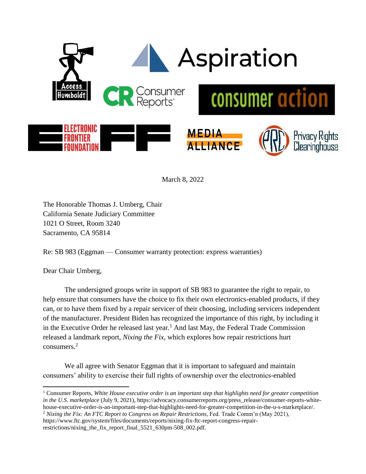

March 8, 2022

The Honorable Thomas J. Umberg, Chair California Senate Judiciary Committee 1021 O Street, Room 3240 Sacramento, CA 95814

Re: SB 983 (Eggman — Consumer warranty protection: express warranties)

Dear Chair Umberg,

The undersigned groups write in support of SB 983 to guarantee the right to repair, to help ensure that consumers have the choice to fix their own electronics-enabled products, if they can, or to have them fixed by a repair servicer of their choosing, including servicers independent of the manufacturer. President Biden has recognized the importance of this right, by including it in the Executive Order he released last year.<sup>1</sup> And last May, the Federal Trade Commission released a landmark report, *Nixing the Fix,* which explores how repair restrictions hurt consumers.<sup>2</sup>

We all agree with Senator Eggman that it is important to safeguard and maintain consumers' ability to exercise their full rights of ownership over the electronics-enabled

restrictions/nixing\_the\_fix\_report\_final\_5521\_630pm-508\_002.pdf.

<sup>1</sup> Consumer Reports, *White House executive order is an important step that highlights need for greater competition in the U.S. marketplace* (July 9, 2021), https://advocacy.consumerreports.org/press\_release/consumer-reports-whitehouse-executive-order-is-an-important-step-that-highlights-need-for-greater-competition-in-the-u-s-marketplace/.

<sup>2</sup> *Nixing the Fix: An FTC Report to Congress on Repair Restrictions*, Fed. Trade Comm'n (May 2021),

https://www.ftc.gov/system/files/documents/reports/nixing-fix-ftc-report-congress-repair-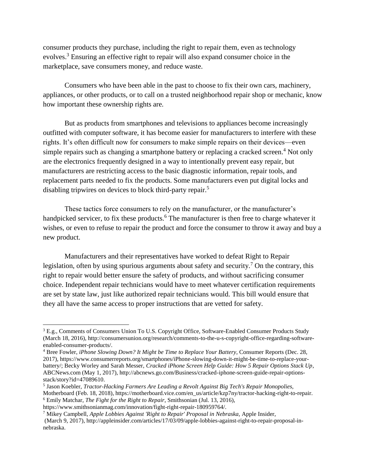consumer products they purchase, including the right to repair them, even as technology evolves.<sup>3</sup> Ensuring an effective right to repair will also expand consumer choice in the marketplace, save consumers money, and reduce waste.

Consumers who have been able in the past to choose to fix their own cars, machinery, appliances, or other products, or to call on a trusted neighborhood repair shop or mechanic, know how important these ownership rights are.

But as products from smartphones and televisions to appliances become increasingly outfitted with computer software, it has become easier for manufacturers to interfere with these rights. It's often difficult now for consumers to make simple repairs on their devices—even simple repairs such as changing a smartphone battery or replacing a cracked screen.<sup>4</sup> Not only are the electronics frequently designed in a way to intentionally prevent easy repair, but manufacturers are restricting access to the basic diagnostic information, repair tools, and replacement parts needed to fix the products. Some manufacturers even put digital locks and disabling tripwires on devices to block third-party repair.<sup>5</sup>

These tactics force consumers to rely on the manufacturer, or the manufacturer's handpicked servicer, to fix these products.<sup>6</sup> The manufacturer is then free to charge whatever it wishes, or even to refuse to repair the product and force the consumer to throw it away and buy a new product.

Manufacturers and their representatives have worked to defeat Right to Repair legislation, often by using spurious arguments about safety and security.<sup>7</sup> On the contrary, this right to repair would better ensure the safety of products, and without sacrificing consumer choice. Independent repair technicians would have to meet whatever certification requirements are set by state law, just like authorized repair technicians would. This bill would ensure that they all have the same access to proper instructions that are vetted for safety.

<sup>3</sup> E.g., Comments of Consumers Union To U.S. Copyright Office, Software-Enabled Consumer Products Study (March 18, 2016), http://consumersunion.org/research/comments-to-the-u-s-copyright-office-regarding-softwareenabled-consumer-products/.

<sup>4</sup> Bree Fowler, *iPhone Slowing Down? It Might be Time to Replace Your Battery,* Consumer Reports (Dec. 28, 2017), https://www.consumerreports.org/smartphones/iPhone-slowing-down-it-might-be-time-to-replace-yourbattery/; Becky Worley and Sarah Messer, *Cracked iPhone Screen Help Guide: How 5 Repair Options Stack Up*, ABCNews.com (May 1, 2017), http://abcnews.go.com/Business/cracked-iphone-screen-guide-repair-optionsstack/story?id=47089610.

<sup>5</sup> Jason Koebler, *Tractor-Hacking Farmers Are Leading a Revolt Against Big Tech's Repair Monopolies,* 

Motherboard (Feb. 18, 2018), https://motherboard.vice.com/en\_us/article/kzp7ny/tractor-hacking-right-to-repair. <sup>6</sup> Emily Matchar, *The Fight for the Right to Repair*, Smithsonian (Jul. 13, 2016),

https://www.smithsonianmag.com/innovation/fight-right-repair-180959764/.

<sup>7</sup> Mikey Campbell, *Apple Lobbies Against 'Right to Repair' Proposal in Nebraska,* Apple Insider,

<sup>(</sup>March 9, 2017), http://appleinsider.com/articles/17/03/09/apple-lobbies-against-right-to-repair-proposal-innebraska.